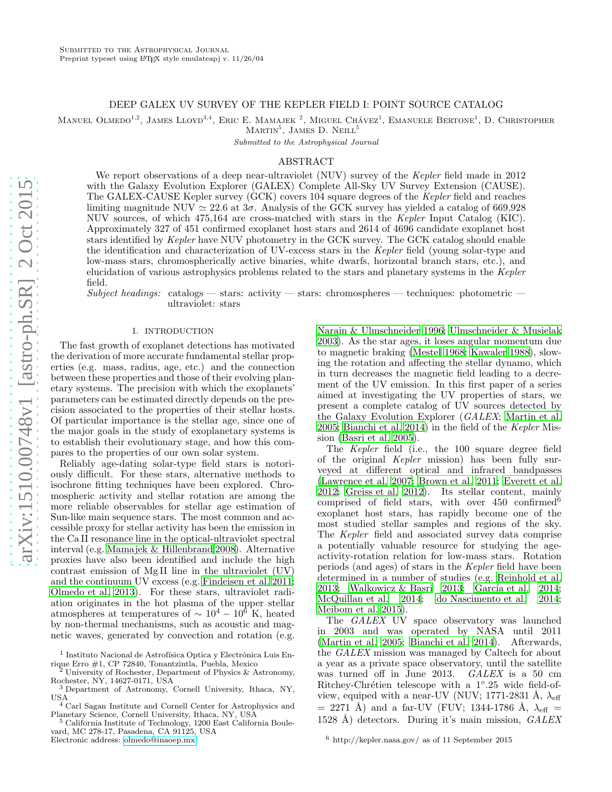# DEEP GALEX UV SURVEY OF THE KEPLER FIELD I: POINT SOURCE CATALOG

Manuel Olmedo<sup>1,2</sup>, James Lloyd<sup>3,4</sup>, Eric E. Mamajek<sup>2</sup>, Miguel Chávez<sup>1</sup>, Emanuele Bertone<sup>1</sup>, D. Christopher

 $MARTIN<sup>5</sup>$ , JAMES D. NEILL<sup>5</sup>

Submitted to the Astrophysical Journal

## ABSTRACT

We report observations of a deep near-ultraviolet (NUV) survey of the *Kepler* field made in 2012 with the Galaxy Evolution Explorer (GALEX) Complete All-Sky UV Survey Extension (CAUSE). The GALEX-CAUSE Kepler survey (GCK) covers 104 square degrees of the *Kepler* field and reaches limiting magnitude NUV  $\simeq 22.6$  at  $3\sigma$ . Analysis of the GCK survey has yielded a catalog of 669,928 NUV sources, of which 475,164 are cross-matched with stars in the *Kepler* Input Catalog (KIC). Approximately 327 of 451 confirmed exoplanet host stars and 2614 of 4696 candidate exoplanet host stars identified by *Kepler* have NUV photometry in the GCK survey. The GCK catalog should enable the identification and characterization of UV-excess stars in the *Kepler* field (young solar-type and low-mass stars, chromospherically active binaries, white dwarfs, horizontal branch stars, etc.), and elucidation of various astrophysics problems related to the stars and planetary systems in the *Kepler* field.

 $Subject, heading: \text{ catalogs} \rightarrow \text{stars: activity} \rightarrow \text{stars: chromospheres} \rightarrow \text{techniques: photometric} \rightarrow$ ultraviolet: stars

#### 1. INTRODUCTION

The fast growth of exoplanet detections has motivated the derivation of more accurate fundamental stellar properties (e.g. mass, radius, age, etc.) and the connection between these properties and those of their evolving planetary systems. The precision with which the exoplanets' parameters can be estimated directly depends on the precision associated to the properties of their stellar hosts. Of particular importance is the stellar age, since one of the major goals in the study of exoplanetary systems is to establish their evolutionary stage, and how this compares to the properties of our own solar system.

Reliably age-dating solar-type field stars is notoriously difficult. For these stars, alternative methods to isochrone fitting techniques have been explored. Chromospheric activity and stellar rotation are among the more reliable observables for stellar age estimation of Sun-like main sequence stars. The most common and accessible proxy for stellar activity has been the emission in the Ca II resonance line in the optical-ultraviolet spectral interval (e.g. [Mamajek & Hillenbrand 2008\)](#page-7-0). Alternative proxies have also been identified and include the high contrast emission of Mg II line in the ultraviolet (UV) and the continuum UV excess (e.g. [Findeisen et al. 2011;](#page-6-0) [Olmedo et al. 2013\)](#page-7-1). For these stars, ultraviolet radiation originates in the hot plasma of the upper stellar atmospheres at temperatures of  $\sim 10^4 - 10^6$  K, heated by non-thermal mechanisms, such as acoustic and magnetic waves, generated by convection and rotation (e.g.

[Narain & Ulmschneider 1996;](#page-7-2) [Ulmschneider & Musielak](#page-7-3) [2003\)](#page-7-3). As the star ages, it loses angular momentum due to magnetic braking [\(Mestel 1968;](#page-7-4) [Kawaler 1988\)](#page-6-1), slowing the rotation and affecting the stellar dynamo, which in turn decreases the magnetic field leading to a decrement of the UV emission. In this first paper of a series aimed at investigating the UV properties of stars, we present a complete catalog of UV sources detected by the Galaxy Evolution Explorer (*GALEX*; [Martin et al.](#page-7-5) [2005;](#page-7-5) [Bianchi et al. 2014](#page-6-2)) in the field of the *Kepler* Mission [\(Basri et al. 2005\)](#page-6-3).

The *Kepler* field (i.e., the 100 square degree field of the original *Kepler* mission) has been fully surveyed at different optical and infrared bandpasses [\(Lawrence et al. 2007;](#page-7-6) [Brown et al. 2011](#page-6-4); [Everett et al.](#page-6-5) [2012;](#page-6-5) [Greiss et al. 2012\)](#page-6-6). Its stellar content, mainly comprised of field stars, with over  $450$  confirmed<sup>6</sup> exoplanet host stars, has rapidly become one of the most studied stellar samples and regions of the sky. The *Kepler* field and associated survey data comprise a potentially valuable resource for studying the ageactivity-rotation relation for low-mass stars. Rotation periods (and ages) of stars in the *Kepler* field have been determined in a number of studies (e.g. [Reinhold et al.](#page-7-7) [2013;](#page-7-7) [Walkowicz & Basri 2013;](#page-7-8) García et al. 2014; [McQuillan et al. 2014;](#page-7-9) [do Nascimento et al. 2014](#page-6-8); [Meibom et al. 2015\)](#page-7-10).

The *GALEX* UV space observatory was launched in 2003 and was operated by NASA until 2011 [\(Martin et al. 2005;](#page-7-5) [Bianchi et al. 2014](#page-6-2)). Afterwards, the *GALEX* mission was managed by Caltech for about a year as a private space observatory, until the satellite was turned off in June 2013. *GALEX* is a 50 cm Ritchey-Chrétien telescope with a 1°.25 wide field-ofview, equiped with a near-UV (NUV; 1771-2831 Å,  $\lambda_{\text{eff}}$  $= 2271$  Å) and a far-UV (FUV; 1344-1786 Å,  $\lambda_{\text{eff}} =$ 1528 ˚A) detectors. During it's main mission, *GALEX*

 $^1$ Instituto Nacional de Astrofísica Optica y Electrónica Luis Enrique Erro #1, CP 72840, Tonantzintla, Puebla, Mexico

<sup>2</sup> University of Rochester, Department of Physics & Astronomy, Rochester, NY, 14627-0171, USA <sup>3</sup> Department of Astronomy, Cornell University, Ithaca, NY,

USA <sup>4</sup> Carl Sagan Institute and Cornell Center for Astrophysics and

Planetary Science, Cornell University, Ithaca, NY, USA

<sup>5</sup> California Institute of Technology, 1200 East California Boulevard, MC 278-17, Pasadena, CA 91125, USA Electronic address: [olmedo@inaoep.mx](mailto:olmedo@inaoep.mx)

 $6$  http://kepler.nasa.gov/ as of 11 September 2015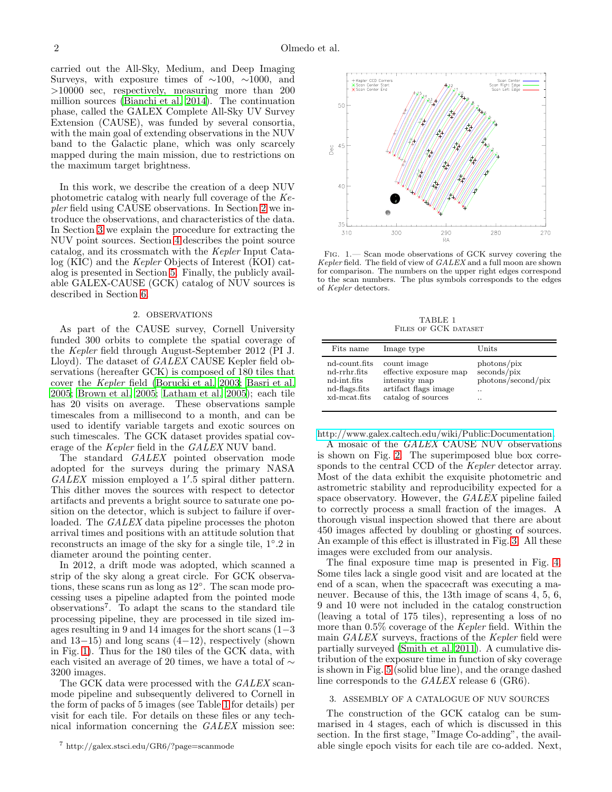carried out the All-Sky, Medium, and Deep Imaging Surveys, with exposure times of  $\sim$ 100,  $\sim$ 1000, and >10000 sec, respectively, measuring more than 200 million sources [\(Bianchi et al. 2014](#page-6-2)). The continuation phase, called the GALEX Complete All-Sky UV Survey Extension (CAUSE), was funded by several consortia, with the main goal of extending observations in the NUV band to the Galactic plane, which was only scarcely mapped during the main mission, due to restrictions on the maximum target brightness.

In this work, we describe the creation of a deep NUV photometric catalog with nearly full coverage of the *Kepler* field using CAUSE observations. In Section [2](#page-1-0) we introduce the observations, and characteristics of the data. In Section [3](#page-1-1) we explain the procedure for extracting the NUV point sources. Section [4](#page-4-0) describes the point source catalog, and its crossmatch with the *Kepler* Input Catalog (KIC) and the *Kepler* Objects of Interest (KOI) catalog is presented in Section [5.](#page-5-0) Finally, the publicly available GALEX-CAUSE (GCK) catalog of NUV sources is described in Section [6.](#page-6-9)

# 2. OBSERVATIONS

<span id="page-1-0"></span>As part of the CAUSE survey, Cornell University funded 300 orbits to complete the spatial coverage of the *Kepler* field through August-September 2012 (PI J. Lloyd). The dataset of *GALEX* CAUSE Kepler field observations (hereafter GCK) is composed of 180 tiles that cover the *Kepler* field [\(Borucki et al. 2003;](#page-6-10) [Basri et al.](#page-6-3) [2005;](#page-6-3) [Brown et al. 2005;](#page-6-11) [Latham et al. 2005\)](#page-6-12); each tile has 20 visits on average. These observations sample timescales from a millisecond to a month, and can be used to identify variable targets and exotic sources on such timescales. The GCK dataset provides spatial coverage of the *Kepler* field in the *GALEX* NUV band.

The standard *GALEX* pointed observation mode adopted for the surveys during the primary NASA *GALEX* mission employed a 1′ .5 spiral dither pattern. This dither moves the sources with respect to detector artifacts and prevents a bright source to saturate one position on the detector, which is subject to failure if overloaded. The *GALEX* data pipeline processes the photon arrival times and positions with an attitude solution that reconstructs an image of the sky for a single tile, 1◦ .2 in diameter around the pointing center.

In 2012, a drift mode was adopted, which scanned a strip of the sky along a great circle. For GCK observations, these scans run as long as  $12°$ . The scan mode processing uses a pipeline adapted from the pointed mode observations<sup>7</sup> . To adapt the scans to the standard tile processing pipeline, they are processed in tile sized images resulting in 9 and 14 images for the short scans (1−3 and  $13-15$ ) and long scans  $(4-12)$ , respectively (shown in Fig. [1\)](#page-1-2). Thus for the 180 tiles of the GCK data, with each visited an average of 20 times, we have a total of  $\sim$ 3200 images.

The GCK data were processed with the *GALEX* scanmode pipeline and subsequently delivered to Cornell in the form of packs of 5 images (see Table [1](#page-1-3) for details) per visit for each tile. For details on these files or any technical information concerning the *GALEX* mission see:



<span id="page-1-2"></span>Fig. 1.— Scan mode observations of GCK survey covering the Kepler field. The field of view of GALEX and a full moon are shown for comparison. The numbers on the upper right edges correspond to the scan numbers. The plus symbols corresponds to the edges of Kepler detectors.

TABLE 1 FILES OF GCK DATASET

<span id="page-1-3"></span>

| Fits name     | Image type             | $_{\rm Units}$     |
|---------------|------------------------|--------------------|
| nd-count.fits | count image            | photons/pix        |
| nd-rrhr.fits  | effective exposure map | seconds/pix        |
| nd-int.fits   | intensity map          | photons/second/pix |
| nd-flags.fits | artifact flags image   | $\cdot$ .          |
| xd-mcat.fits  | catalog of sources     | $\cdot$ .          |

[http://www.galex.caltech.edu/wiki/Public:Documentation.](http://www.galex.caltech.edu/wiki/Public:Documentation)

A mosaic of the *GALEX* CAUSE NUV observations is shown on Fig. [2.](#page-2-0) The superimposed blue box corresponds to the central CCD of the *Kepler* detector array. Most of the data exhibit the exquisite photometric and astrometric stability and reproducibility expected for a space observatory. However, the *GALEX* pipeline failed to correctly process a small fraction of the images. A thorough visual inspection showed that there are about 450 images affected by doubling or ghosting of sources. An example of this effect is illustrated in Fig. [3.](#page-3-0) All these images were excluded from our analysis.

The final exposure time map is presented in Fig. [4.](#page-3-1) Some tiles lack a single good visit and are located at the end of a scan, when the spacecraft was executing a maneuver. Because of this, the 13th image of scans 4, 5, 6, 9 and 10 were not included in the catalog construction (leaving a total of 175 tiles), representing a loss of no more than 0.5% coverage of the *Kepler* field. Within the main *GALEX* surveys, fractions of the *Kepler* field were partially surveyed [\(Smith et al. 2011\)](#page-7-11). A cumulative distribution of the exposure time in function of sky coverage is shown in Fig. [5](#page-3-2) (solid blue line), and the orange dashed line corresponds to the *GALEX* release 6 (GR6).

#### <span id="page-1-1"></span>3. ASSEMBLY OF A CATALOGUE OF NUV SOURCES

The construction of the GCK catalog can be summarised in 4 stages, each of which is discussed in this section. In the first stage, "Image Co-adding", the available single epoch visits for each tile are co-added. Next,

<sup>7</sup> http://galex.stsci.edu/GR6/?page=scanmode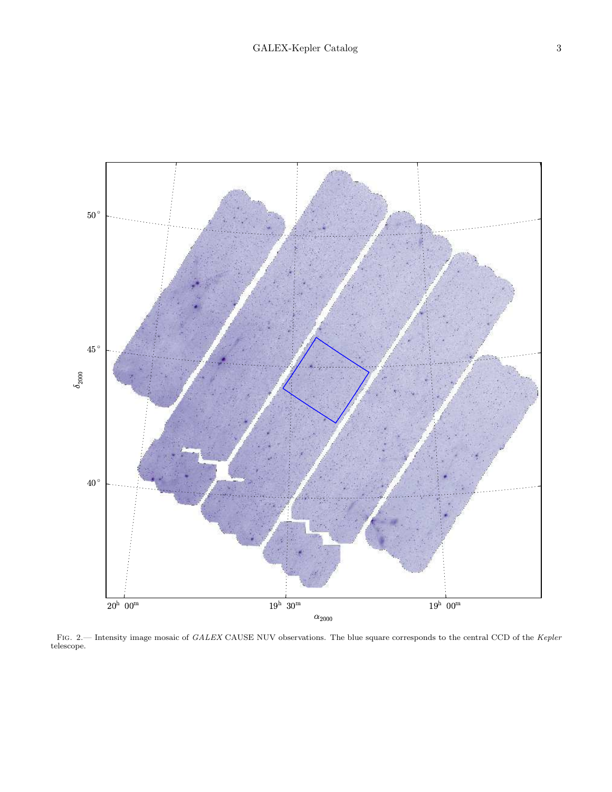

<span id="page-2-0"></span>FIG. 2.— Intensity image mosaic of GALEX CAUSE NUV observations. The blue square corresponds to the central CCD of the Kepler telescope.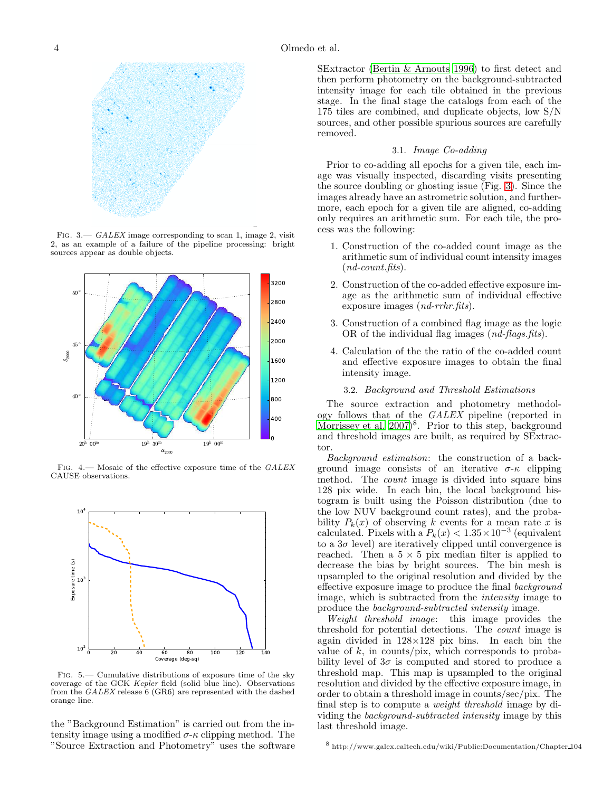

<span id="page-3-0"></span>FIG.  $3 - \text{GALEX}$  image corresponding to scan 1, image 2, visit 2, as an example of a failure of the pipeline processing: bright sources appear as double objects.



Fig. 4.— Mosaic of the effective exposure time of the GALEX CAUSE observations.

<span id="page-3-1"></span>

<span id="page-3-2"></span>- Cumulative distributions of exposure time of the sky coverage of the GCK Kepler field (solid blue line). Observations from the GALEX release 6 (GR6) are represented with the dashed orange line.

the "Background Estimation" is carried out from the intensity image using a modified  $\sigma$ - $\kappa$  clipping method. The "Source Extraction and Photometry" uses the software

SExtractor [\(Bertin & Arnouts 1996\)](#page-6-13) to first detect and then perform photometry on the background-subtracted intensity image for each tile obtained in the previous stage. In the final stage the catalogs from each of the 175 tiles are combined, and duplicate objects, low S/N sources, and other possible spurious sources are carefully removed.

## 3.1. *Image Co-adding*

Prior to co-adding all epochs for a given tile, each image was visually inspected, discarding visits presenting the source doubling or ghosting issue (Fig. [3\)](#page-3-0). Since the images already have an astrometric solution, and furthermore, each epoch for a given tile are aligned, co-adding only requires an arithmetic sum. For each tile, the process was the following:

- 1. Construction of the co-added count image as the arithmetic sum of individual count intensity images (*nd-count.fits*).
- 2. Construction of the co-added effective exposure image as the arithmetic sum of individual effective exposure images (*nd-rrhr.fits*).
- 3. Construction of a combined flag image as the logic OR of the individual flag images (*nd-flags.fits*).
- 4. Calculation of the the ratio of the co-added count and effective exposure images to obtain the final intensity image.

## 3.2. *Background and Threshold Estimations*

The source extraction and photometry methodology follows that of the *GALEX* pipeline (reported in Morrissey et al.  $2007)^8$ . Prior to this step, background and threshold images are built, as required by SExtractor.

*Background estimation*: the construction of a background image consists of an iterative  $\sigma$ - $\kappa$  clipping method. The *count* image is divided into square bins 128 pix wide. In each bin, the local background histogram is built using the Poisson distribution (due to the low NUV background count rates), and the probability  $P_k(x)$  of observing k events for a mean rate x is calculated. Pixels with a  $P_k(x) < 1.35 \times 10^{-3}$  (equivalent to a  $3\sigma$  level) are iteratively clipped until convergence is reached. Then a  $5 \times 5$  pix median filter is applied to decrease the bias by bright sources. The bin mesh is upsampled to the original resolution and divided by the effective exposure image to produce the final *background* image, which is subtracted from the *intensity* image to produce the *background-subtracted intensity* image.

*Weight threshold image*: this image provides the threshold for potential detections. The *count* image is again divided in  $128\times128$  pix bins. In each bin the value of  $k$ , in counts/pix, which corresponds to probability level of  $3\sigma$  is computed and stored to produce a threshold map. This map is upsampled to the original resolution and divided by the effective exposure image, in order to obtain a threshold image in counts/sec/pix. The final step is to compute a *weight threshold* image by dividing the *background-subtracted intensity* image by this last threshold image.

 $^8$ http://www.galex.caltech.edu/wiki/Public:Documentation/Chapter 104  $\,$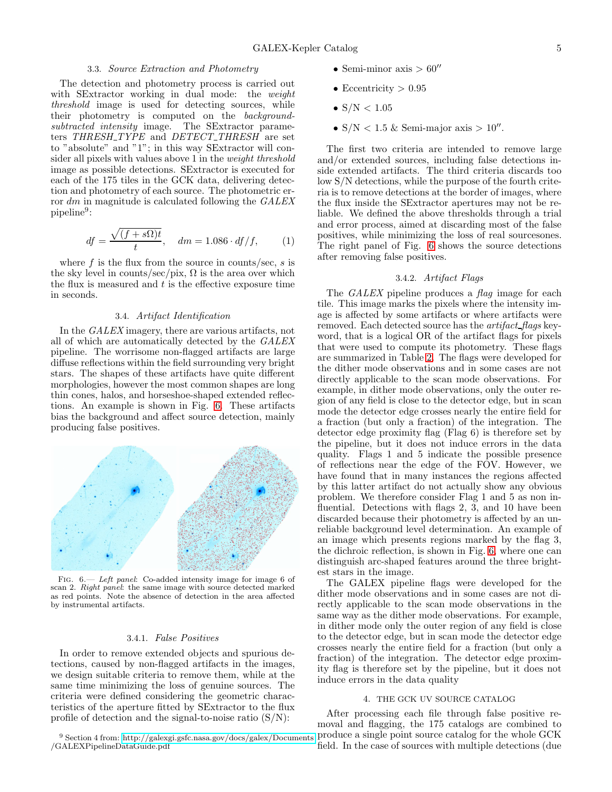## 3.3. *Source Extraction and Photometry*

The detection and photometry process is carried out with SExtractor working in dual mode: the *weight threshold* image is used for detecting sources, while their photometry is computed on the *backgroundsubtracted intensity* image. The SExtractor parameters *THRESH TYPE* and *DETECT THRESH* are set to "absolute" and "1"; in this way SExtractor will consider all pixels with values above 1 in the *weight threshold* image as possible detections. SExtractor is executed for each of the 175 tiles in the GCK data, delivering detection and photometry of each source. The photometric error dm in magnitude is calculated following the *GALEX*  $pi$ <sup>9</sup>:

$$
df = \frac{\sqrt{(f + s\Omega)t}}{t}, \quad dm = 1.086 \cdot df/f,
$$
 (1)

where  $f$  is the flux from the source in counts/sec,  $s$  is the sky level in counts/sec/pix,  $\Omega$  is the area over which the flux is measured and  $t$  is the effective exposure time in seconds.

#### 3.4. *Artifact Identification*

In the *GALEX* imagery, there are various artifacts, not all of which are automatically detected by the *GALEX* pipeline. The worrisome non-flagged artifacts are large diffuse reflections within the field surrounding very bright stars. The shapes of these artifacts have quite different morphologies, however the most common shapes are long thin cones, halos, and horseshoe-shaped extended reflections. An example is shown in Fig. [6.](#page-4-1) These artifacts bias the background and affect source detection, mainly producing false positives.



<span id="page-4-1"></span>FIG.  $6$ - Left panel: Co-added intensity image for image 6 of scan 2. Right panel: the same image with source detected marked as red points. Note the absence of detection in the area affected by instrumental artifacts.

### 3.4.1. *False Positives*

In order to remove extended objects and spurious detections, caused by non-flagged artifacts in the images, we design suitable criteria to remove them, while at the same time minimizing the loss of genuine sources. The criteria were defined considering the geometric characteristics of the aperture fitted by SExtractor to the flux profile of detection and the signal-to-noise ratio  $(S/N)$ :

- Semi-minor axis  $> 60''$
- Eccentricity  $> 0.95$
- $S/N < 1.05$
- $S/N < 1.5$  & Semi-major axis >  $10''$ .

The first two criteria are intended to remove large and/or extended sources, including false detections inside extended artifacts. The third criteria discards too low S/N detections, while the purpose of the fourth criteria is to remove detections at the border of images, where the flux inside the SExtractor apertures may not be reliable. We defined the above thresholds through a trial and error process, aimed at discarding most of the false positives, while minimizing the loss of real sourcesones. The right panel of Fig. [6](#page-4-1) shows the source detections after removing false positives.

### 3.4.2. *Artifact Flags*

The *GALEX* pipeline produces a *flag* image for each tile. This image marks the pixels where the intensity image is affected by some artifacts or where artifacts were removed. Each detected source has the *artifact flags* keyword, that is a logical OR of the artifact flags for pixels that were used to compute its photometry. These flags are summarized in Table [2.](#page-5-1) The flags were developed for the dither mode observations and in some cases are not directly applicable to the scan mode observations. For example, in dither mode observations, only the outer region of any field is close to the detector edge, but in scan mode the detector edge crosses nearly the entire field for a fraction (but only a fraction) of the integration. The detector edge proximity flag (Flag 6) is therefore set by the pipeline, but it does not induce errors in the data quality. Flags 1 and 5 indicate the possible presence of reflections near the edge of the FOV. However, we have found that in many instances the regions affected by this latter artifact do not actually show any obvious problem. We therefore consider Flag 1 and 5 as non influential. Detections with flags 2, 3, and 10 have been discarded because their photometry is affected by an unreliable background level determination. An example of an image which presents regions marked by the flag 3, the dichroic reflection, is shown in Fig. [6,](#page-4-1) where one can distinguish arc-shaped features around the three brightest stars in the image.

The GALEX pipeline flags were developed for the dither mode observations and in some cases are not directly applicable to the scan mode observations in the same way as the dither mode observations. For example, in dither mode only the outer region of any field is close to the detector edge, but in scan mode the detector edge crosses nearly the entire field for a fraction (but only a fraction) of the integration. The detector edge proximity flag is therefore set by the pipeline, but it does not induce errors in the data quality

#### 4. THE GCK UV SOURCE CATALOG

<span id="page-4-0"></span>After processing each file through false positive removal and flagging, the 175 catalogs are combined to produce a single point source catalog for the whole GCK field. In the case of sources with multiple detections (due

 $^{9}$  Section 4 from:<http://galexgi.gsfc.nasa.gov/docs/galex/Documents> /GALEXPipelineDataGuide.pdf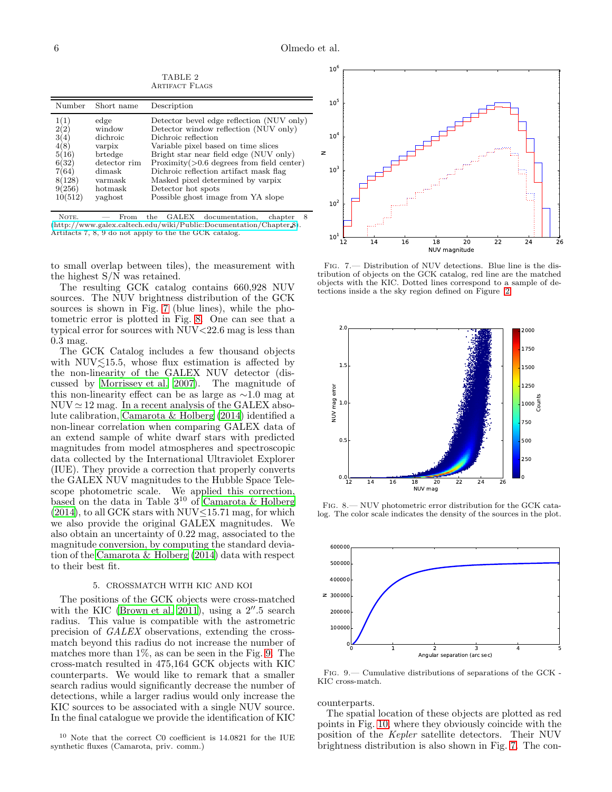<span id="page-5-1"></span>Number Short name Description 1(1) edge Detector bevel edge reflection (NUV only)  $2(2)$  window Detector window reflection (NUV only)<br> $3(4)$  dichroic Dichroic reflection 3(4) dichroic Dichroic reflection<br>4(8) varpix Variable pixel base varpix Variable pixel based on time slices  $5(16)$  brtedge Bright star near field edge (NUV only)  $6(32)$  detector rim Proximity (>0.6 degrees from field cent  $6(32)$  detector rim Proximity( $>0.6$  degrees from field center)<br>7(64) dimask Dichroic reflection artifact mask flag  $7(64)$  dimask Dichroic reflection artifact mask flag  $8(128)$  varmask Masked pixel determined by varpix varmask Masked pixel determined by varpix 9(256) hotmask Detector hot spots<br>10(512) yaghost Possible ghost image Possible ghost image from YA slope

TABLE 2 ARTIFACT FLAGS

NOTE.  $-$  From the GALEX documentation, chapter 8 [\(http://www.galex.caltech.edu/wiki/Public:Documentation/Chapter](http://www.galex.caltech.edu/wiki/Public:Documentation/Chapter_8) 8). Artifacts 7, 8, 9 do not apply to the the GCK catalog.

to small overlap between tiles), the measurement with the highest S/N was retained.

The resulting GCK catalog contains 660,928 NUV sources. The NUV brightness distribution of the GCK sources is shown in Fig. [7](#page-5-2) (blue lines), while the photometric error is plotted in Fig. [8.](#page-5-3) One can see that a typical error for sources with NUV<22.6 mag is less than 0.3 mag.

The GCK Catalog includes a few thousand objects with  $NUV\leq 15.5$ , whose flux estimation is affected by the non-linearity of the GALEX NUV detector (discussed by [Morrissey et al. 2007](#page-7-12)). The magnitude of this non-linearity effect can be as large as ∼1.0 mag at  $NUV \simeq 12$  mag. In a recent analysis of the GALEX absolute calibration, [Camarota & Holberg \(2014\)](#page-6-14) identified a non-linear correlation when comparing GALEX data of an extend sample of white dwarf stars with predicted magnitudes from model atmospheres and spectroscopic data collected by the International Ultraviolet Explorer (IUE). They provide a correction that properly converts the GALEX NUV magnitudes to the Hubble Space Telescope photometric scale. We applied this correction, based on the data in Table  $3^{10}$  of [Camarota & Holberg](#page-6-14)  $(2014)$ , to all GCK stars with NUV $\leq$ 15.71 mag, for which we also provide the original GALEX magnitudes. We also obtain an uncertainty of 0.22 mag, associated to the magnitude conversion, by computing the standard deviation of the [Camarota & Holberg \(2014\)](#page-6-14) data with respect to their best fit.

#### 5. CROSSMATCH WITH KIC AND KOI

<span id="page-5-0"></span>The positions of the GCK objects were cross-matched with the KIC [\(Brown et al. 2011\)](#page-6-4), using a  $2^{\prime\prime}$ .5 search radius. This value is compatible with the astrometric precision of *GALEX* observations, extending the crossmatch beyond this radius do not increase the number of matches more than  $1\%$ , as can be seen in the Fig. [9.](#page-5-4) The cross-match resulted in 475,164 GCK objects with KIC counterparts. We would like to remark that a smaller search radius would significantly decrease the number of detections, while a larger radius would only increase the KIC sources to be associated with a single NUV source. In the final catalogue we provide the identification of KIC

 $10$  Note that the correct C0 coefficient is 14.0821 for the IUE synthetic fluxes (Camarota, priv. comm.)



<span id="page-5-2"></span>Fig. 7.— Distribution of NUV detections. Blue line is the distribution of objects on the GCK catalog, red line are the matched objects with the KIC. Dotted lines correspond to a sample of detections inside a the sky region defined on Figure [2.](#page-2-0)



<span id="page-5-3"></span>Fig. 8.— NUV photometric error distribution for the GCK catalog. The color scale indicates the density of the sources in the plot.



<span id="page-5-4"></span>Fig. 9.— Cumulative distributions of separations of the GCK - KIC cross-match.

counterparts.

The spatial location of these objects are plotted as red points in Fig. [10,](#page-6-15) where they obviously coincide with the position of the *Kepler* satellite detectors. Their NUV brightness distribution is also shown in Fig. [7.](#page-5-2) The con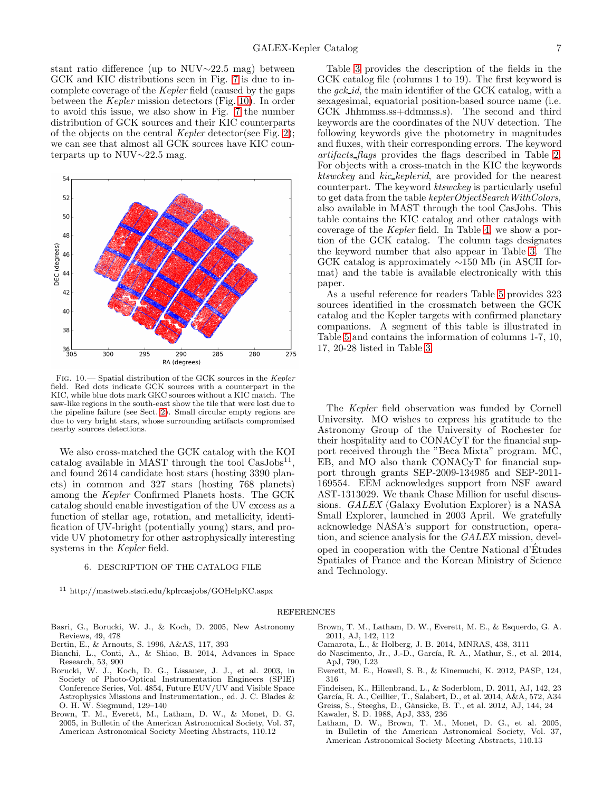stant ratio difference (up to NUV∼22.5 mag) between GCK and KIC distributions seen in Fig. [7](#page-5-2) is due to incomplete coverage of the *Kepler* field (caused by the gaps between the *Kepler* mission detectors (Fig. [10\)](#page-6-15). In order to avoid this issue, we also show in Fig. [7](#page-5-2) the number distribution of GCK sources and their KIC counterparts of the objects on the central *Kepler* detector(see Fig. [2\)](#page-2-0); we can see that almost all GCK sources have KIC counterparts up to NUV∼22.5 mag.



<span id="page-6-15"></span>Fig. 10.— Spatial distribution of the GCK sources in the Kepler field. Red dots indicate GCK sources with a counterpart in the KIC, while blue dots mark GKC sources without a KIC match. The saw-like regions in the south-east show the tile that were lost due to the pipeline failure (see Sect. [2\)](#page-1-0). Small circular empty regions are due to very bright stars, whose surrounding artifacts compromised nearby sources detections.

We also cross-matched the GCK catalog with the KOI catalog available in MAST through the tool  $\text{CasJobs}^{11}$ , and found 2614 candidate host stars (hosting 3390 planets) in common and 327 stars (hosting 768 planets) among the *Kepler* Confirmed Planets hosts. The GCK catalog should enable investigation of the UV excess as a function of stellar age, rotation, and metallicity, identification of UV-bright (potentially young) stars, and provide UV photometry for other astrophysically interesting systems in the *Kepler* field.

#### 6. DESCRIPTION OF THE CATALOG FILE

<span id="page-6-9"></span><sup>11</sup> http://mastweb.stsci.edu/kplrcasjobs/GOHelpKC.aspx

Table [3](#page-8-0) provides the description of the fields in the GCK catalog file (columns 1 to 19). The first keyword is the *gck id*, the main identifier of the GCK catalog, with a sexagesimal, equatorial position-based source name (i.e. GCK Jhhmmss.ss+ddmmss.s). The second and third keywords are the coordinates of the NUV detection. The following keywords give the photometry in magnitudes and fluxes, with their corresponding errors. The keyword *artifacts flags* provides the flags described in Table [2.](#page-5-1) For objects with a cross-match in the KIC the keywords *ktswckey* and *kic keplerid*, are provided for the nearest counterpart. The keyword *ktswckey* is particularly useful to get data from the table *keplerObjectSearchWithColors*, also available in MAST through the tool CasJobs. This table contains the KIC catalog and other catalogs with coverage of the *Kepler* field. In Table [4,](#page-8-1) we show a portion of the GCK catalog. The column tags designates the keyword number that also appear in Table [3.](#page-8-0) The GCK catalog is approximately ∼150 Mb (in ASCII format) and the table is available electronically with this paper.

As a useful reference for readers Table [5](#page-9-0) provides 323 sources identified in the crossmatch between the GCK catalog and the Kepler targets with confirmed planetary companions. A segment of this table is illustrated in Table [5](#page-9-0) and contains the information of columns 1-7, 10, 17, 20-28 listed in Table [3.](#page-8-0)

The *Kepler* field observation was funded by Cornell University. MO wishes to express his gratitude to the Astronomy Group of the University of Rochester for their hospitality and to CONACyT for the financial support received through the "Beca Mixta" program. MC, EB, and MO also thank CONACyT for financial support through grants SEP-2009-134985 and SEP-2011- 169554. EEM acknowledges support from NSF award AST-1313029. We thank Chase Million for useful discussions. *GALEX* (Galaxy Evolution Explorer) is a NASA Small Explorer, launched in 2003 April. We gratefully acknowledge NASA's support for construction, operation, and science analysis for the *GALEX* mission, developed in cooperation with the Centre National d'Etudes ´ Spatiales of France and the Korean Ministry of Science and Technology.

#### REFERENCES

- <span id="page-6-3"></span>Basri, G., Borucki, W. J., & Koch, D. 2005, New Astronomy Reviews, 49, 478
- <span id="page-6-13"></span>Bertin, E., & Arnouts, S. 1996, A&AS, 117, 393
- <span id="page-6-2"></span>Bianchi, L., Conti, A., & Shiao, B. 2014, Advances in Space Research, 53, 900
- <span id="page-6-10"></span>Borucki, W. J., Koch, D. G., Lissauer, J. J., et al. 2003, in Society of Photo-Optical Instrumentation Engineers (SPIE) Conference Series, Vol. 4854, Future EUV/UV and Visible Space Astrophysics Missions and Instrumentation., ed. J. C. Blades & O. H. W. Siegmund, 129–140
- <span id="page-6-11"></span>Brown, T. M., Everett, M., Latham, D. W., & Monet, D. G. 2005, in Bulletin of the American Astronomical Society, Vol. 37, American Astronomical Society Meeting Abstracts, 110.12
- <span id="page-6-4"></span>Brown, T. M., Latham, D. W., Everett, M. E., & Esquerdo, G. A. 2011, AJ, 142, 112
- <span id="page-6-14"></span>Camarota, L., & Holberg, J. B. 2014, MNRAS, 438, 3111
- <span id="page-6-8"></span>do Nascimento, Jr., J.-D., García, R. A., Mathur, S., et al. 2014, ApJ, 790, L23
- <span id="page-6-5"></span>Everett, M. E., Howell, S. B., & Kinemuchi, K. 2012, PASP, 124, 316
- <span id="page-6-0"></span>Findeisen, K., Hillenbrand, L., & Soderblom, D. 2011, AJ, 142, 23
- <span id="page-6-7"></span>García, R. A., Ceillier, T., Salabert, D., et al. 2014, A&A, 572, A34
- <span id="page-6-6"></span>Greiss, S., Steeghs, D., Gänsicke, B. T., et al. 2012, AJ, 144, 24
- <span id="page-6-1"></span>Kawaler, S. D. 1988, ApJ, 333, 236
- <span id="page-6-12"></span>Latham, D. W., Brown, T. M., Monet, D. G., et al. 2005, in Bulletin of the American Astronomical Society, Vol. 37, American Astronomical Society Meeting Abstracts, 110.13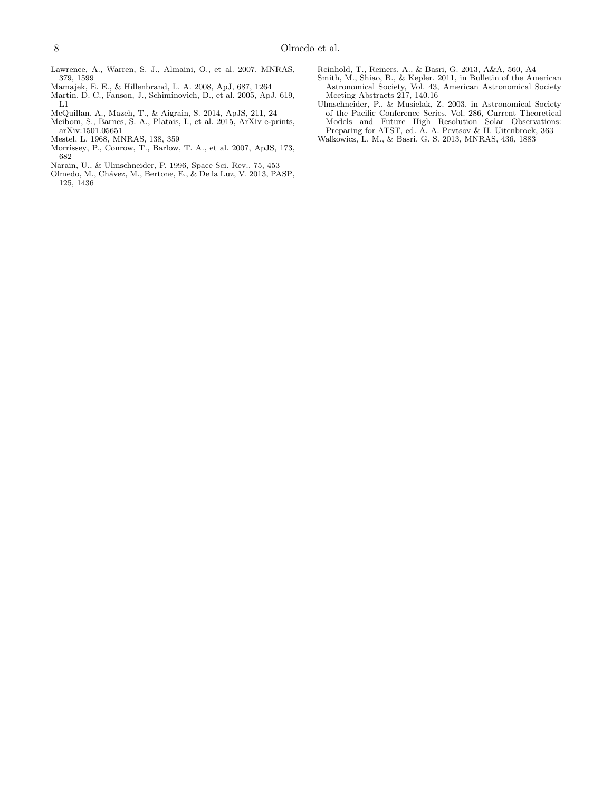- <span id="page-7-6"></span>Lawrence, A., Warren, S. J., Almaini, O., et al. 2007, MNRAS, 379, 1599
- <span id="page-7-0"></span>Mamajek, E. E., & Hillenbrand, L. A. 2008, ApJ, 687, 1264
- <span id="page-7-5"></span>Martin, D. C., Fanson, J., Schiminovich, D., et al. 2005, ApJ, 619, L1
- <span id="page-7-9"></span>McQuillan, A., Mazeh, T., & Aigrain, S. 2014, ApJS, 211, 24
- <span id="page-7-10"></span>Meibom, S., Barnes, S. A., Platais, I., et al. 2015, ArXiv e-prints, arXiv:1501.05651
- <span id="page-7-4"></span>Mestel, L. 1968, MNRAS, 138, 359
- <span id="page-7-12"></span>Morrissey, P., Conrow, T., Barlow, T. A., et al. 2007, ApJS, 173, 682
- <span id="page-7-2"></span>Narain, U., & Ulmschneider, P. 1996, Space Sci. Rev., 75, 453
- <span id="page-7-1"></span>Olmedo, M., Ch´avez, M., Bertone, E., & De la Luz, V. 2013, PASP, 125, 1436
- <span id="page-7-7"></span>Reinhold, T., Reiners, A., & Basri, G. 2013, A&A, 560, A4
- <span id="page-7-11"></span>Smith, M., Shiao, B., & Kepler. 2011, in Bulletin of the American Astronomical Society, Vol. 43, American Astronomical Society Meeting Abstracts 217, 140.16
- <span id="page-7-3"></span>Ulmschneider, P., & Musielak, Z. 2003, in Astronomical Society of the Pacific Conference Series, Vol. 286, Current Theoretical Models and Future High Resolution Solar Observations: Preparing for ATST, ed. A. A. Pevtsov & H. Uitenbroek, 363
- <span id="page-7-8"></span>Walkowicz, L. M., & Basri, G. S. 2013, MNRAS, 436, 1883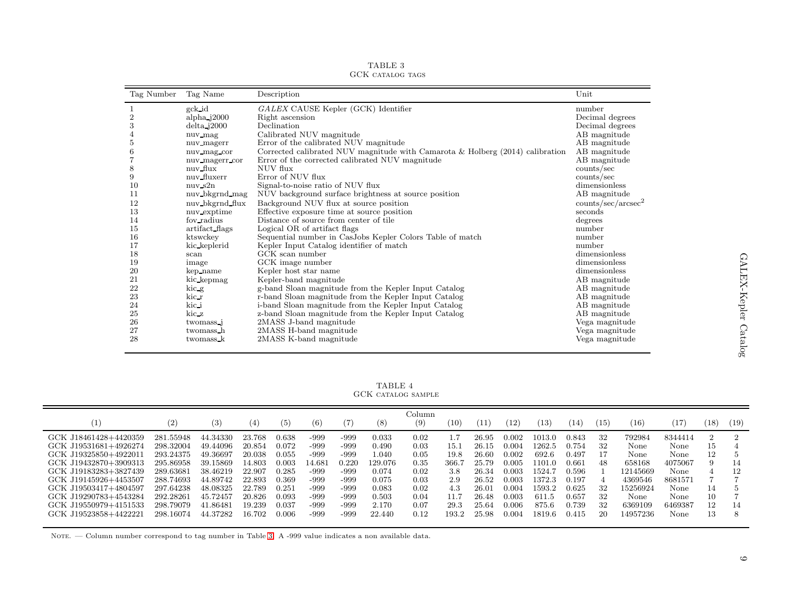| Tag Number     | Tag Name              | Description                                                                     | Unit                           |
|----------------|-----------------------|---------------------------------------------------------------------------------|--------------------------------|
|                | gck id                | GALEX CAUSE Kepler (GCK) Identifier                                             | number                         |
| $\overline{2}$ | $alpha_{j}$ 2000      | Right ascension                                                                 | Decimal degrees                |
| 3              | $delta$ $j2000$       | Declination                                                                     | Decimal degrees                |
| 4              | nuv_mag               | Calibrated NUV magnitude                                                        | AB magnitude                   |
| 5              | nuv magerr            | Error of the calibrated NUV magnitude                                           | AB magnitude                   |
| 6              | nuv mag cor           | Corrected calibrated NUV magnitude with Camarota & Holberg $(2014)$ calibration | AB magnitude                   |
|                | nuv_magerr_cor        | Error of the corrected calibrated NUV magnitude                                 | AB magnitude                   |
| 8              | nuv_flux              | NUV flux                                                                        | counts/sec                     |
| 9              | nuv fluxerr           | Error of NUV flux                                                               | counts/sec                     |
| 10             | $nuv$ s2 $n$          | Signal-to-noise ratio of NUV flux                                               | dimensionless                  |
| 11             | nuv_bkgrnd_mag        | NUV background surface brightness at source position                            | AB magnitude                   |
| 12             | nuv_bkgrnd_flux       | Background NUV flux at source position                                          | counts/sec/arcsec <sup>2</sup> |
| 13             | nuv exptime           | Effective exposure time at source position                                      | seconds                        |
| 14             | fov_radius            | Distance of source from center of tile                                          | degrees                        |
| 15             | artifact flags        | Logical OR of artifact flags                                                    | number                         |
| 16             | ktswckey              | Sequential number in CasJobs Kepler Colors Table of match                       | number                         |
| 17             | kic_keplerid          | Kepler Input Catalog identifier of match                                        | number                         |
| 18             | scan                  | GCK scan number                                                                 | dimensionless                  |
| 19             | image                 | GCK image number                                                                | dimensionless                  |
| 20             | kep_name              | Kepler host star name                                                           | dimensionless                  |
| 21             | kic kepmag            | Kepler-band magnitude                                                           | AB magnitude                   |
| 22             | kic g                 | g-band Sloan magnitude from the Kepler Input Catalog                            | AB magnitude                   |
| 23             | kic r                 | r-band Sloan magnitude from the Kepler Input Catalog                            | AB magnitude                   |
| 24             | kic i                 | i-band Sloan magnitude from the Kepler Input Catalog                            | AB magnitude                   |
| 25             | kic_z                 | z-band Sloan magnitude from the Kepler Input Catalog                            | AB magnitude                   |
| 26             | twomass <sub>-1</sub> | 2MASS J-band magnitude                                                          | Vega magnitude                 |
| 27             | twomass_h             | 2MASS H-band magnitude                                                          | Vega magnitude                 |
| 28             | twomass k             | 2MASS K-band magnitude                                                          | Vega magnitude                 |

TABLE <sup>3</sup> GCK catalog tags

<span id="page-8-2"></span><span id="page-8-1"></span><span id="page-8-0"></span>TABLE <sup>4</sup> GCK catalog sample

| П.                                                                                                                                                                          | (2)                                                                                     | (3)                                                                              | (4)                                                                | (5)                                                         | (6)                                                    | (7)                                                   | (8)                                                           | Column<br>(9)                                        | $^{\prime}10^{\cdot}$                      | '11                                                             | $12^{\circ}$                                                | (13)                                                              | (14                                                         | $\left(15\right)$                | (16)                                                                | (17                                                           | (18)           | (19)     |
|-----------------------------------------------------------------------------------------------------------------------------------------------------------------------------|-----------------------------------------------------------------------------------------|----------------------------------------------------------------------------------|--------------------------------------------------------------------|-------------------------------------------------------------|--------------------------------------------------------|-------------------------------------------------------|---------------------------------------------------------------|------------------------------------------------------|--------------------------------------------|-----------------------------------------------------------------|-------------------------------------------------------------|-------------------------------------------------------------------|-------------------------------------------------------------|----------------------------------|---------------------------------------------------------------------|---------------------------------------------------------------|----------------|----------|
| GCK J18461428+4420359<br>GCK J19531681+4926274<br>GCK J19325850+4922011<br>GCK J19432870+3909313<br>GCK J19183283+3827439<br>GCK J19145926+4453507<br>GCK J19503417+4804597 | 281.55948<br>298.32004<br>293.24375<br>295.86958<br>289.63681<br>288.74693<br>297.64238 | 44.34330<br>49.44096<br>49.36697<br>39.15869<br>38.46219<br>44.89742<br>48.08325 | 23.768<br>20.854<br>20.038<br>14.803<br>22.907<br>22.893<br>22.789 | 0.638<br>0.072<br>0.055<br>0.003<br>0.285<br>0.369<br>0.251 | -999<br>-999<br>-999<br>14.68.<br>-999<br>-999<br>-999 | -999<br>-999<br>-999<br>0.220<br>-999<br>-999<br>-999 | 0.033<br>0.490<br>l.040<br>129.076<br>0.074<br>0.075<br>0.083 | 0.02<br>0.03<br>0.05<br>0.35<br>0.02<br>0.03<br>0.02 | 15.1<br>19.8<br>366.7<br>3.8<br>2.9<br>4.3 | 26.95<br>$26.15\,$<br>26.60<br>25.79<br>26.34<br>26.52<br>26.01 | 0.002<br>0.004<br>0.002<br>0.005<br>0.003<br>0.003<br>0.004 | 1013.0<br>1262.5<br>692.6<br>1101.0<br>1524.7<br>1372.3<br>1593.2 | 0.843<br>0.754<br>0.497<br>0.661<br>0.596<br>0.197<br>0.625 | 32<br>32<br>17<br>48<br>32<br>32 | 792984<br>None<br>None<br>658168<br>12145669<br>4369546<br>15256924 | 8344414<br>None<br>None<br>4075067<br>None<br>8681571<br>None | 15<br>12<br>14 | 14<br>12 |
| GCK J19290783+4543284<br>GCK J19550979+4151533<br>GCK J19523858+4422221                                                                                                     | 292.28261<br>298.79079<br>298.16074                                                     | 45.72457<br>41.86481<br>44.37282                                                 | 20.826<br>19.239<br>16.702                                         | 0.093<br>0.037<br>0.006                                     | -999<br>-999<br>-999                                   | -999<br>-999<br>-999                                  | 0.503<br>2.170<br>22.440                                      | 0.04<br>0.07<br>0.12                                 | 29.3<br>193.2                              | 26.48<br>25.64<br>25.98                                         | 0.003<br>0.006<br>0.004                                     | 611.5<br>875.6<br>1819.6                                          | 0.657<br>0.739<br>0.415                                     | 32<br>20                         | None<br>6369109<br>14957236                                         | None.<br>6469387<br>None                                      | 10<br>12<br>13 | 14<br>8  |

Note. — Column number correspond to tag number in Table [3.](#page-8-2) <sup>A</sup> -999 value indicates <sup>a</sup> non available data.